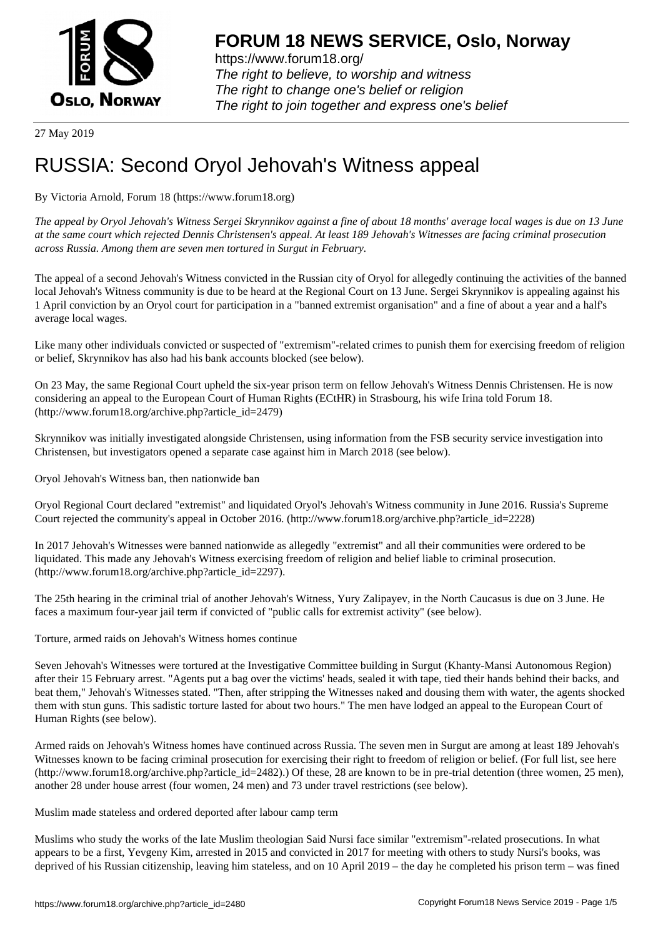

https://www.forum18.org/ The right to believe, to worship and witness The right to change one's belief or religion [The right to join together a](https://www.forum18.org/)nd express one's belief

27 May 2019

## [RUSSIA: Secon](https://www.forum18.org)d Oryol Jehovah's Witness appeal

By Victoria Arnold, Forum 18 (https://www.forum18.org)

*The appeal by Oryol Jehovah's Witness Sergei Skrynnikov against a fine of about 18 months' average local wages is due on 13 June at the same court which rejected Dennis Christensen's appeal. At least 189 Jehovah's Witnesses are facing criminal prosecution across Russia. Among them are seven men tortured in Surgut in February.*

The appeal of a second Jehovah's Witness convicted in the Russian city of Oryol for allegedly continuing the activities of the banned local Jehovah's Witness community is due to be heard at the Regional Court on 13 June. Sergei Skrynnikov is appealing against his 1 April conviction by an Oryol court for participation in a "banned extremist organisation" and a fine of about a year and a half's average local wages.

Like many other individuals convicted or suspected of "extremism"-related crimes to punish them for exercising freedom of religion or belief, Skrynnikov has also had his bank accounts blocked (see below).

On 23 May, the same Regional Court upheld the six-year prison term on fellow Jehovah's Witness Dennis Christensen. He is now considering an appeal to the European Court of Human Rights (ECtHR) in Strasbourg, his wife Irina told Forum 18. (http://www.forum18.org/archive.php?article\_id=2479)

Skrynnikov was initially investigated alongside Christensen, using information from the FSB security service investigation into Christensen, but investigators opened a separate case against him in March 2018 (see below).

Oryol Jehovah's Witness ban, then nationwide ban

Oryol Regional Court declared "extremist" and liquidated Oryol's Jehovah's Witness community in June 2016. Russia's Supreme Court rejected the community's appeal in October 2016. (http://www.forum18.org/archive.php?article\_id=2228)

In 2017 Jehovah's Witnesses were banned nationwide as allegedly "extremist" and all their communities were ordered to be liquidated. This made any Jehovah's Witness exercising freedom of religion and belief liable to criminal prosecution. (http://www.forum18.org/archive.php?article\_id=2297).

The 25th hearing in the criminal trial of another Jehovah's Witness, Yury Zalipayev, in the North Caucasus is due on 3 June. He faces a maximum four-year jail term if convicted of "public calls for extremist activity" (see below).

Torture, armed raids on Jehovah's Witness homes continue

Seven Jehovah's Witnesses were tortured at the Investigative Committee building in Surgut (Khanty-Mansi Autonomous Region) after their 15 February arrest. "Agents put a bag over the victims' heads, sealed it with tape, tied their hands behind their backs, and beat them," Jehovah's Witnesses stated. "Then, after stripping the Witnesses naked and dousing them with water, the agents shocked them with stun guns. This sadistic torture lasted for about two hours." The men have lodged an appeal to the European Court of Human Rights (see below).

Armed raids on Jehovah's Witness homes have continued across Russia. The seven men in Surgut are among at least 189 Jehovah's Witnesses known to be facing criminal prosecution for exercising their right to freedom of religion or belief. (For full list, see here (http://www.forum18.org/archive.php?article\_id=2482).) Of these, 28 are known to be in pre-trial detention (three women, 25 men), another 28 under house arrest (four women, 24 men) and 73 under travel restrictions (see below).

Muslim made stateless and ordered deported after labour camp term

Muslims who study the works of the late Muslim theologian Said Nursi face similar "extremism"-related prosecutions. In what appears to be a first, Yevgeny Kim, arrested in 2015 and convicted in 2017 for meeting with others to study Nursi's books, was deprived of his Russian citizenship, leaving him stateless, and on 10 April 2019 – the day he completed his prison term – was fined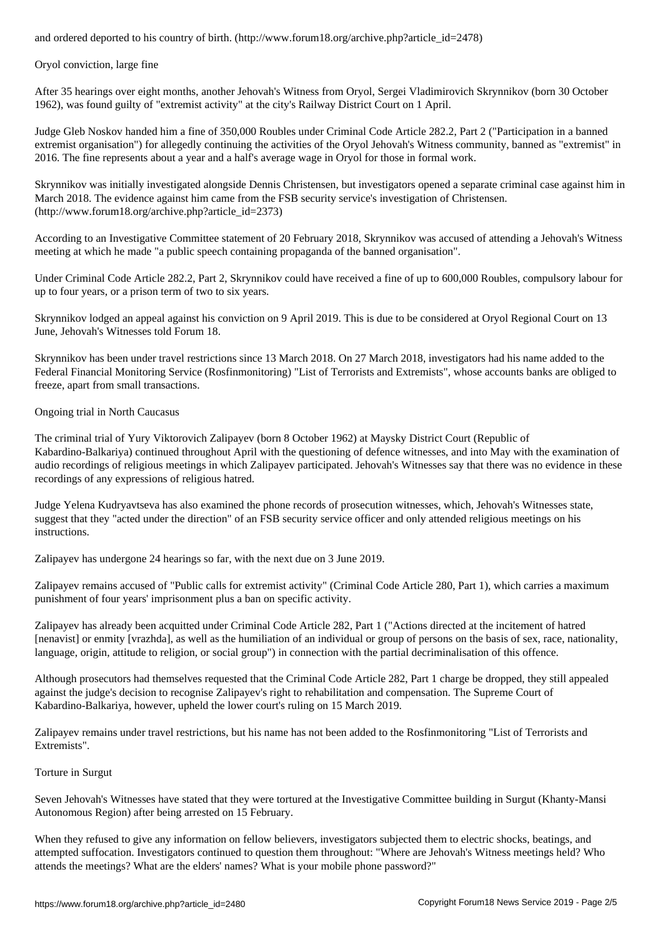Oryol conviction, large fine

After 35 hearings over eight months, another Jehovah's Witness from Oryol, Sergei Vladimirovich Skrynnikov (born 30 October 1962), was found guilty of "extremist activity" at the city's Railway District Court on 1 April.

Judge Gleb Noskov handed him a fine of 350,000 Roubles under Criminal Code Article 282.2, Part 2 ("Participation in a banned extremist organisation") for allegedly continuing the activities of the Oryol Jehovah's Witness community, banned as "extremist" in 2016. The fine represents about a year and a half's average wage in Oryol for those in formal work.

Skrynnikov was initially investigated alongside Dennis Christensen, but investigators opened a separate criminal case against him in March 2018. The evidence against him came from the FSB security service's investigation of Christensen. (http://www.forum18.org/archive.php?article\_id=2373)

According to an Investigative Committee statement of 20 February 2018, Skrynnikov was accused of attending a Jehovah's Witness meeting at which he made "a public speech containing propaganda of the banned organisation".

Under Criminal Code Article 282.2, Part 2, Skrynnikov could have received a fine of up to 600,000 Roubles, compulsory labour for up to four years, or a prison term of two to six years.

Skrynnikov lodged an appeal against his conviction on 9 April 2019. This is due to be considered at Oryol Regional Court on 13 June, Jehovah's Witnesses told Forum 18.

Skrynnikov has been under travel restrictions since 13 March 2018. On 27 March 2018, investigators had his name added to the Federal Financial Monitoring Service (Rosfinmonitoring) "List of Terrorists and Extremists", whose accounts banks are obliged to freeze, apart from small transactions.

Ongoing trial in North Caucasus

The criminal trial of Yury Viktorovich Zalipayev (born 8 October 1962) at Maysky District Court (Republic of Kabardino-Balkariya) continued throughout April with the questioning of defence witnesses, and into May with the examination of audio recordings of religious meetings in which Zalipayev participated. Jehovah's Witnesses say that there was no evidence in these recordings of any expressions of religious hatred.

Judge Yelena Kudryavtseva has also examined the phone records of prosecution witnesses, which, Jehovah's Witnesses state, suggest that they "acted under the direction" of an FSB security service officer and only attended religious meetings on his instructions.

Zalipayev has undergone 24 hearings so far, with the next due on 3 June 2019.

Zalipayev remains accused of "Public calls for extremist activity" (Criminal Code Article 280, Part 1), which carries a maximum punishment of four years' imprisonment plus a ban on specific activity.

Zalipayev has already been acquitted under Criminal Code Article 282, Part 1 ("Actions directed at the incitement of hatred [nenavist] or enmity [vrazhda], as well as the humiliation of an individual or group of persons on the basis of sex, race, nationality, language, origin, attitude to religion, or social group") in connection with the partial decriminalisation of this offence.

Although prosecutors had themselves requested that the Criminal Code Article 282, Part 1 charge be dropped, they still appealed against the judge's decision to recognise Zalipayev's right to rehabilitation and compensation. The Supreme Court of Kabardino-Balkariya, however, upheld the lower court's ruling on 15 March 2019.

Zalipayev remains under travel restrictions, but his name has not been added to the Rosfinmonitoring "List of Terrorists and Extremists".

## Torture in Surgut

Seven Jehovah's Witnesses have stated that they were tortured at the Investigative Committee building in Surgut (Khanty-Mansi Autonomous Region) after being arrested on 15 February.

When they refused to give any information on fellow believers, investigators subjected them to electric shocks, beatings, and attempted suffocation. Investigators continued to question them throughout: "Where are Jehovah's Witness meetings held? Who attends the meetings? What are the elders' names? What is your mobile phone password?"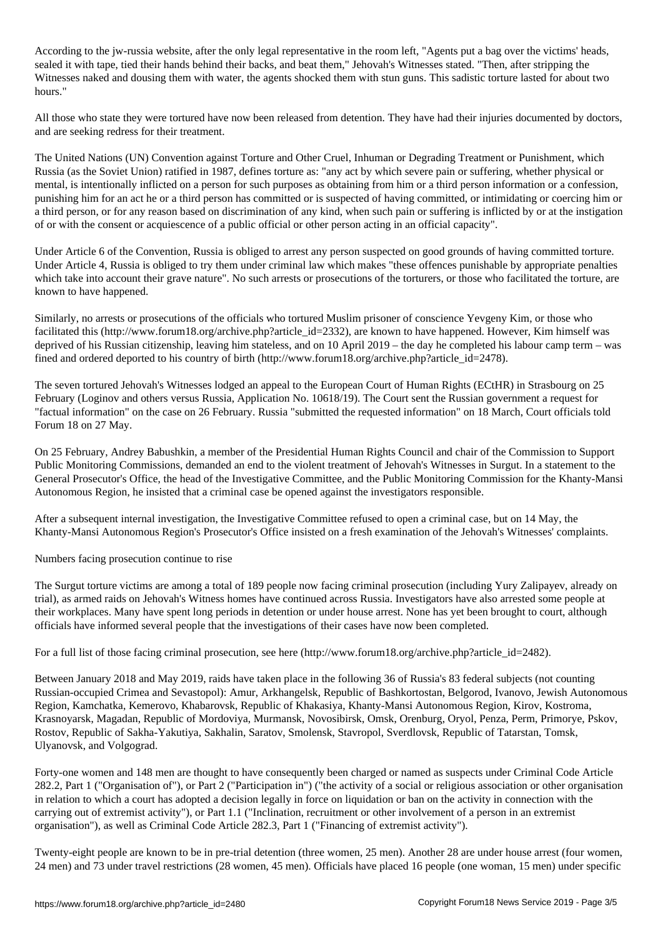According to the jw-russia website, after the only legal representative in the room left, "Agents put a bag over the victims' heads, sealed it with tape, tied their hands behind their backs, and beat them," Jehovah's Witnesses stated. "Then, after stripping the Witnesses naked and dousing them with water, the agents shocked them with stun guns. This sadistic torture lasted for about two hours."

All those who state they were tortured have now been released from detention. They have had their injuries documented by doctors, and are seeking redress for their treatment.

The United Nations (UN) Convention against Torture and Other Cruel, Inhuman or Degrading Treatment or Punishment, which Russia (as the Soviet Union) ratified in 1987, defines torture as: "any act by which severe pain or suffering, whether physical or mental, is intentionally inflicted on a person for such purposes as obtaining from him or a third person information or a confession, punishing him for an act he or a third person has committed or is suspected of having committed, or intimidating or coercing him or a third person, or for any reason based on discrimination of any kind, when such pain or suffering is inflicted by or at the instigation of or with the consent or acquiescence of a public official or other person acting in an official capacity".

Under Article 6 of the Convention, Russia is obliged to arrest any person suspected on good grounds of having committed torture. Under Article 4, Russia is obliged to try them under criminal law which makes "these offences punishable by appropriate penalties which take into account their grave nature". No such arrests or prosecutions of the torturers, or those who facilitated the torture, are known to have happened.

Similarly, no arrests or prosecutions of the officials who tortured Muslim prisoner of conscience Yevgeny Kim, or those who facilitated this (http://www.forum18.org/archive.php?article\_id=2332), are known to have happened. However, Kim himself was deprived of his Russian citizenship, leaving him stateless, and on 10 April 2019 – the day he completed his labour camp term – was fined and ordered deported to his country of birth (http://www.forum18.org/archive.php?article\_id=2478).

The seven tortured Jehovah's Witnesses lodged an appeal to the European Court of Human Rights (ECtHR) in Strasbourg on 25 February (Loginov and others versus Russia, Application No. 10618/19). The Court sent the Russian government a request for "factual information" on the case on 26 February. Russia "submitted the requested information" on 18 March, Court officials told Forum 18 on 27 May.

On 25 February, Andrey Babushkin, a member of the Presidential Human Rights Council and chair of the Commission to Support Public Monitoring Commissions, demanded an end to the violent treatment of Jehovah's Witnesses in Surgut. In a statement to the General Prosecutor's Office, the head of the Investigative Committee, and the Public Monitoring Commission for the Khanty-Mansi Autonomous Region, he insisted that a criminal case be opened against the investigators responsible.

After a subsequent internal investigation, the Investigative Committee refused to open a criminal case, but on 14 May, the Khanty-Mansi Autonomous Region's Prosecutor's Office insisted on a fresh examination of the Jehovah's Witnesses' complaints.

Numbers facing prosecution continue to rise

The Surgut torture victims are among a total of 189 people now facing criminal prosecution (including Yury Zalipayev, already on trial), as armed raids on Jehovah's Witness homes have continued across Russia. Investigators have also arrested some people at their workplaces. Many have spent long periods in detention or under house arrest. None has yet been brought to court, although officials have informed several people that the investigations of their cases have now been completed.

For a full list of those facing criminal prosecution, see here (http://www.forum18.org/archive.php?article\_id=2482).

Between January 2018 and May 2019, raids have taken place in the following 36 of Russia's 83 federal subjects (not counting Russian-occupied Crimea and Sevastopol): Amur, Arkhangelsk, Republic of Bashkortostan, Belgorod, Ivanovo, Jewish Autonomous Region, Kamchatka, Kemerovo, Khabarovsk, Republic of Khakasiya, Khanty-Mansi Autonomous Region, Kirov, Kostroma, Krasnoyarsk, Magadan, Republic of Mordoviya, Murmansk, Novosibirsk, Omsk, Orenburg, Oryol, Penza, Perm, Primorye, Pskov, Rostov, Republic of Sakha-Yakutiya, Sakhalin, Saratov, Smolensk, Stavropol, Sverdlovsk, Republic of Tatarstan, Tomsk, Ulyanovsk, and Volgograd.

Forty-one women and 148 men are thought to have consequently been charged or named as suspects under Criminal Code Article 282.2, Part 1 ("Organisation of"), or Part 2 ("Participation in") ("the activity of a social or religious association or other organisation in relation to which a court has adopted a decision legally in force on liquidation or ban on the activity in connection with the carrying out of extremist activity"), or Part 1.1 ("Inclination, recruitment or other involvement of a person in an extremist organisation"), as well as Criminal Code Article 282.3, Part 1 ("Financing of extremist activity").

Twenty-eight people are known to be in pre-trial detention (three women, 25 men). Another 28 are under house arrest (four women, 24 men) and 73 under travel restrictions (28 women, 45 men). Officials have placed 16 people (one woman, 15 men) under specific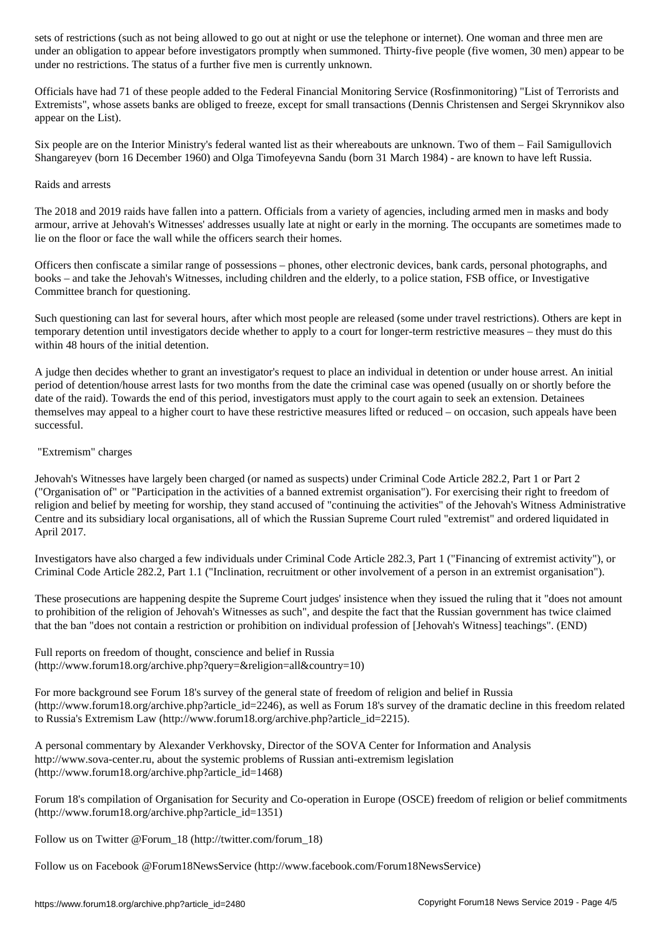under an obligation to appear before investigators promptly when summoned. Thirty-five people (five women, 30 men) appear to be under no restrictions. The status of a further five men is currently unknown.

Officials have had 71 of these people added to the Federal Financial Monitoring Service (Rosfinmonitoring) "List of Terrorists and Extremists", whose assets banks are obliged to freeze, except for small transactions (Dennis Christensen and Sergei Skrynnikov also appear on the List).

Six people are on the Interior Ministry's federal wanted list as their whereabouts are unknown. Two of them – Fail Samigullovich Shangareyev (born 16 December 1960) and Olga Timofeyevna Sandu (born 31 March 1984) - are known to have left Russia.

## Raids and arrests

The 2018 and 2019 raids have fallen into a pattern. Officials from a variety of agencies, including armed men in masks and body armour, arrive at Jehovah's Witnesses' addresses usually late at night or early in the morning. The occupants are sometimes made to lie on the floor or face the wall while the officers search their homes.

Officers then confiscate a similar range of possessions – phones, other electronic devices, bank cards, personal photographs, and books – and take the Jehovah's Witnesses, including children and the elderly, to a police station, FSB office, or Investigative Committee branch for questioning.

Such questioning can last for several hours, after which most people are released (some under travel restrictions). Others are kept in temporary detention until investigators decide whether to apply to a court for longer-term restrictive measures – they must do this within 48 hours of the initial detention.

A judge then decides whether to grant an investigator's request to place an individual in detention or under house arrest. An initial period of detention/house arrest lasts for two months from the date the criminal case was opened (usually on or shortly before the date of the raid). Towards the end of this period, investigators must apply to the court again to seek an extension. Detainees themselves may appeal to a higher court to have these restrictive measures lifted or reduced – on occasion, such appeals have been successful.

## "Extremism" charges

Jehovah's Witnesses have largely been charged (or named as suspects) under Criminal Code Article 282.2, Part 1 or Part 2 ("Organisation of" or "Participation in the activities of a banned extremist organisation"). For exercising their right to freedom of religion and belief by meeting for worship, they stand accused of "continuing the activities" of the Jehovah's Witness Administrative Centre and its subsidiary local organisations, all of which the Russian Supreme Court ruled "extremist" and ordered liquidated in April 2017.

Investigators have also charged a few individuals under Criminal Code Article 282.3, Part 1 ("Financing of extremist activity"), or Criminal Code Article 282.2, Part 1.1 ("Inclination, recruitment or other involvement of a person in an extremist organisation").

These prosecutions are happening despite the Supreme Court judges' insistence when they issued the ruling that it "does not amount to prohibition of the religion of Jehovah's Witnesses as such", and despite the fact that the Russian government has twice claimed that the ban "does not contain a restriction or prohibition on individual profession of [Jehovah's Witness] teachings". (END)

Full reports on freedom of thought, conscience and belief in Russia (http://www.forum18.org/archive.php?query=&religion=all&country=10)

For more background see Forum 18's survey of the general state of freedom of religion and belief in Russia (http://www.forum18.org/archive.php?article\_id=2246), as well as Forum 18's survey of the dramatic decline in this freedom related to Russia's Extremism Law (http://www.forum18.org/archive.php?article\_id=2215).

A personal commentary by Alexander Verkhovsky, Director of the SOVA Center for Information and Analysis http://www.sova-center.ru, about the systemic problems of Russian anti-extremism legislation (http://www.forum18.org/archive.php?article\_id=1468)

Forum 18's compilation of Organisation for Security and Co-operation in Europe (OSCE) freedom of religion or belief commitments (http://www.forum18.org/archive.php?article\_id=1351)

Follow us on Twitter @Forum\_18 (http://twitter.com/forum\_18)

Follow us on Facebook @Forum18NewsService (http://www.facebook.com/Forum18NewsService)